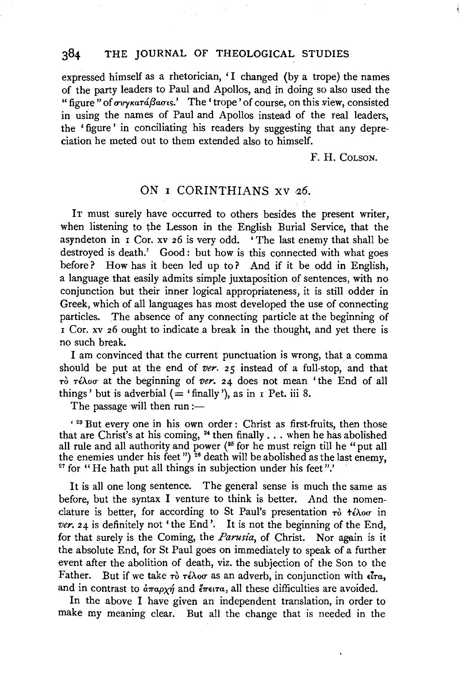## 384 THE JOURNAL OF THEOLOGICAL STUDIES

expressed himself as a rhetorician, 'I changed (by a trope) the names of the party leaders to Paul and Apollos, and in doing so also used the "figure" of *ovykatá Baous.'* The 'trope' of course, on this view, consisted in using the names of Paul and Apollos instead of the real leaders, the 'figure' in conciliating his readers by suggesting that any depreciation he meted out to them extended also to himself.

F. H. COLSON.

## ON 1 CORINTHIANS xv *26.*

IT must surely have occurred to others besides the present writer, when listening to the Lesson in the English Burial Service, that the asyndeton in 1 Cor. xv 26 is very odd. 'The last enemy that shall be destroyed is death.' Good: but how is this connected with what goes before? How has it been led up to? And if it be odd in English, a language that easily admits simple juxtaposition of sentences, with no conjunction but their inner logical appropriateness, it is still odder in Greek, which of all languages has most developed the use of connecting particles. The absence of any connecting particle at the beginning of 1 Cor. xv 26 ought to indicate a break in the thought, and yet there is no such break.

I am convinced that the current punctuation is wrong, that a comma should be put at the end of *ver.* 25 instead of a full-stop, and that  $τ\delta τ\epsilon\lambda$ οσ at the beginning of *ver.* 24 does not mean 'the End of all things' but is adverbial  $($  = 'finally'), as in  $\bar{1}$  Pet. iii 8.

The passage will then  $run =$ 

' 28 But every one in his own order : Christ as first-fruits, then those that are Christ's at his coming,  $^{24}$  then finally . . . when he has abolished all rule and all authority and power (<sup>25</sup> for he must reign till he "put all the enemies under his feet") <sup>26</sup> death will be abolished as the last enemy, <sup>27</sup> for "He hath put all things in subjection under his feet".'

It is all one long sentence. The general sense is much the same as before, but the syntax I venture to think is better. And the nomenclature is better, for according to St Paul's presentation  $\tau_0$   $\tau_1 \wedge \tau_2$  in *ver.* 24 is definitely not 'the End'. It is not the beginning of the End, for that surely is the Coming, the *Parusia*, of Christ. Nor again is it the absolute End, for St Paul goes on immediately to speak of a further event after the abolition of death, viz. the subjection of the Son to the Father. But if we take  $\tau$ ò  $\tau$ *έλοσ* as an adverb, in conjunction with  $\epsilon \bar{t}$ *ra*, and in contrast to  $\partial \pi a \rho \chi \eta$  and  $\partial \pi \epsilon \tau \tau$ , all these difficulties are avoided.

In the above I have given an independent translation, in order to make my meaning clear. But all the change that is needed in the